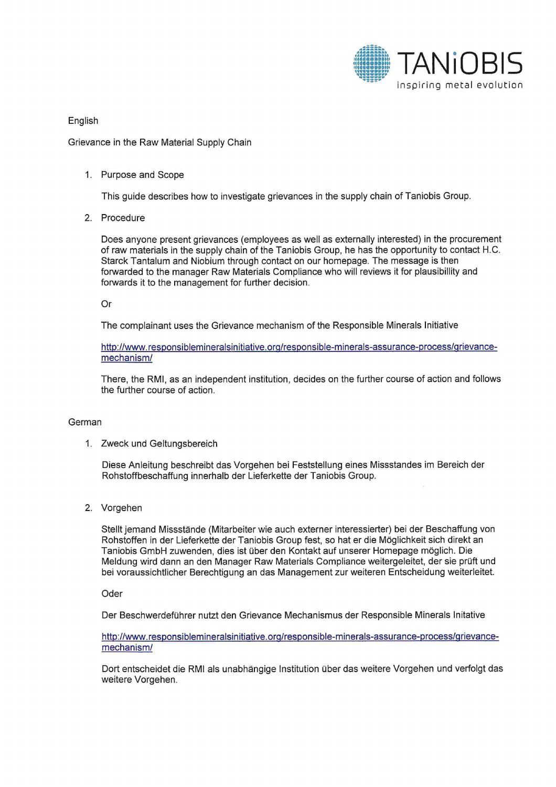

English

## Grievance in the Raw Material Supply Chain

## 1. Purpose and Scope

This guide describes how to investigate grievances in the supply chain of Taniobis Group.

2. Procedure

Does anyone present grievances (employees as well as externally interested) in the procurement of raw materials in the supply chain of the Taniobis Group, he has the opportunity to contact H.C. Starck Tantalum and Niobium through contact on our homepage. The message is then forwarded to the manager Raw Materials Compliance who will reviews it for plausibillity and forwards it to the management for further decision.

Or

The complainant uses the Grievance mechanism of the Responsible Minerals Initiative

http://www.responsiblemineralsinitiative.orp/responsible-minerals-assurance-process/prievancemechanism/

There, the RMI, as an independent institution, decides on the further course of action and follows the further course of action.

## German

1. Zweck und Geltungsbereich

Diese Anleitung beschreibt das Vorgehen bei Feststellung eines Missstandes im Bereich der Rohstoffbeschaffung innerhalb der Lieferkette der Taniobis Group.

2. Vorgehen

Stellt jemand Missstände (Mitarbeiter wie auch externer interessierter) bei der Beschaffung von Rohstoffen in der Lieferkette der Taniobis Group fest, so hat er die Möglichkeit sich direkt an Taniobis GmbH zuwenden, dies ist über den Kontakt auf unserer Homepage möglich. Die Meldung wird dann an den Manager Raw Materials Compliance weitergeleitet, der sie prüft und bei voraussichtlicher Berechtigung an das Management zur weiteren Entscheidung weiterleitet.

Oder

Der Beschwerdeführer nutzt den Grievance Mechanismus der Responsible Minerals lnitative

http://www.responsiblemineralsinitiative.org/responsible-minerals-assurance-process/grievancemechanism/

Dort entscheidet die RMI als unabhängige Institution über das weitere Vorgehen und verfolgt das weitere Vorgehen.